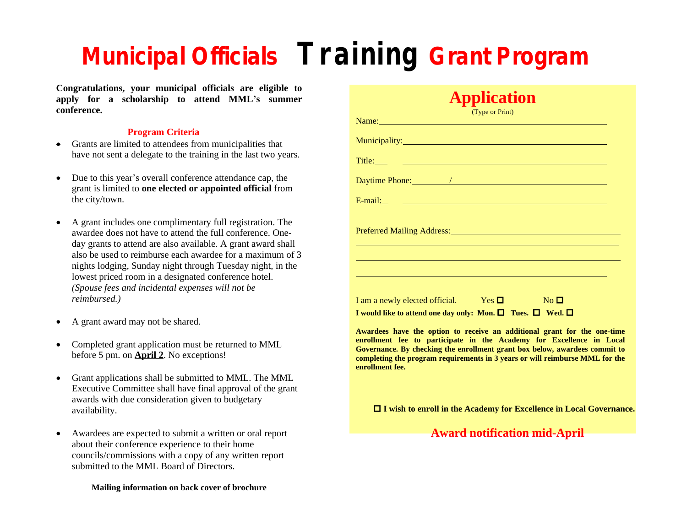## **Municipal Officials Training Grant Program**

**Congratulations, your municipal officials are eligible to apply for a scholarship to attend MML's summer conference.**

## **Program Criteria**

- Grants are limited to attendees from municipalities that have not sent a delegate to the training in the last two years.
- Due to this year's overall conference attendance cap, the grant is limited to **one elected or appointed official** from the city/town.
- A grant includes one complimentary full registration. The awardee does not have to attend the full conference. Oneday grants to attend are also available. A grant award shall also be used to reimburse each awardee for a maximum of 3 nights lodging, Sunday night through Tuesday night, in the lowest priced room in a designated conference hotel. *(Spouse fees and incidental expenses will not be reimbursed.)*
- A grant award may not be shared.
- Completed grant application must be returned to MML before 5 pm. on **April 2**. No exceptions!
- Grant applications shall be submitted to MML. The MML Executive Committee shall have final approval of the grant awards with due consideration given to budgetary availability.
- Awardees are expected to submit a written or oral report about their conference experience to their home councils/commissions with a copy of any written report submitted to the MML Board of Directors.

## **Mailing information on back cover of brochure**

| (Type or Print)                                                                                                                                                                                                                                                                                                                                                                                                                                            |  |
|------------------------------------------------------------------------------------------------------------------------------------------------------------------------------------------------------------------------------------------------------------------------------------------------------------------------------------------------------------------------------------------------------------------------------------------------------------|--|
| Name: Name:                                                                                                                                                                                                                                                                                                                                                                                                                                                |  |
| Municipality: Municipality:                                                                                                                                                                                                                                                                                                                                                                                                                                |  |
|                                                                                                                                                                                                                                                                                                                                                                                                                                                            |  |
|                                                                                                                                                                                                                                                                                                                                                                                                                                                            |  |
|                                                                                                                                                                                                                                                                                                                                                                                                                                                            |  |
|                                                                                                                                                                                                                                                                                                                                                                                                                                                            |  |
| and the control of the control of the control of the control of the control of the control of the control of the<br><u> 1999 - Johann Stoff, Amerikaansk politiker († 1908)</u>                                                                                                                                                                                                                                                                            |  |
| I am a newly elected official. Yes $\square$ No $\square$<br>I would like to attend one day only: Mon. $\Box$ Tues. $\Box$ Wed. $\Box$                                                                                                                                                                                                                                                                                                                     |  |
| Awardees have the option to receive an additional grant for the one-time<br>enrollment fee to participate in the Academy for Excellence in Local<br>Governance. By checking the enrollment grant box below, awardees commit to<br>completing the program requirements in 3 years or will reimburse MML for the<br>enrollment fee.<br><b>Contract Contract Contract Contract Contract Contract Contract Contract Contract Contract Contract Contract Co</b> |  |

**Application**

o **I wish to enroll in the Academy for Excellence in Local Governance.**

**Award notification mid-April**